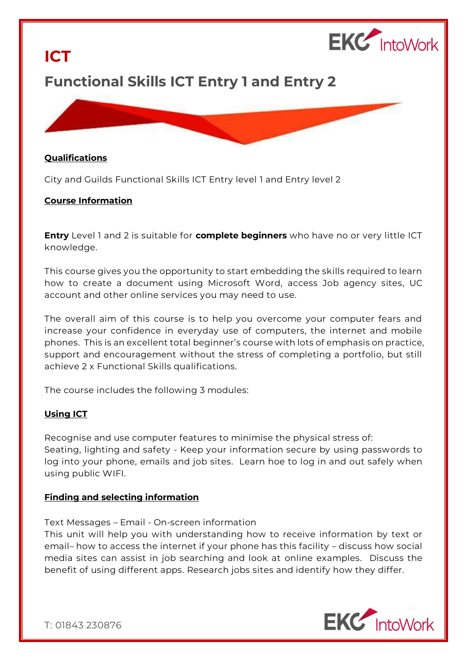

# **Functional Skills ICT Entry 1 and Entry 2**

#### **Qualifications**

**ICT**

City and Guilds Functional Skills ICT Entry level 1 and Entry level 2

### **Course Information**

**Entry** Level 1 and 2 is suitable for **complete beginners** who have no or very little ICT knowledge.

This course gives you the opportunity to start embedding the skills required to learn how to create a document using Microsoft Word, access Job agency sites, UC account and other online services you may need to use.

The overall aim of this course is to help you overcome your computer fears and increase your confidence in everyday use of computers, the internet and mobile phones. This is an excellent total beginner's course with lots of emphasis on practice, support and encouragement without the stress of completing a portfolio, but still achieve 2 x Functional Skills qualifications.

The course includes the following 3 modules:

# **Using ICT**

Recognise and use computer features to minimise the physical stress of: Seating, lighting and safety - Keep your information secure by using passwords to log into your phone, emails and job sites. Learn hoe to log in and out safely when using public WIFI.

#### **Finding and selecting information**

Text Messages – Email - On-screen information

This unit will help you with understanding how to receive information by text or email– how to access the internet if your phone has this facility – discuss how social media sites can assist in job searching and look at online examples. Discuss the benefit of using different apps. Research jobs sites and identify how they differ.



T: 01843 230876